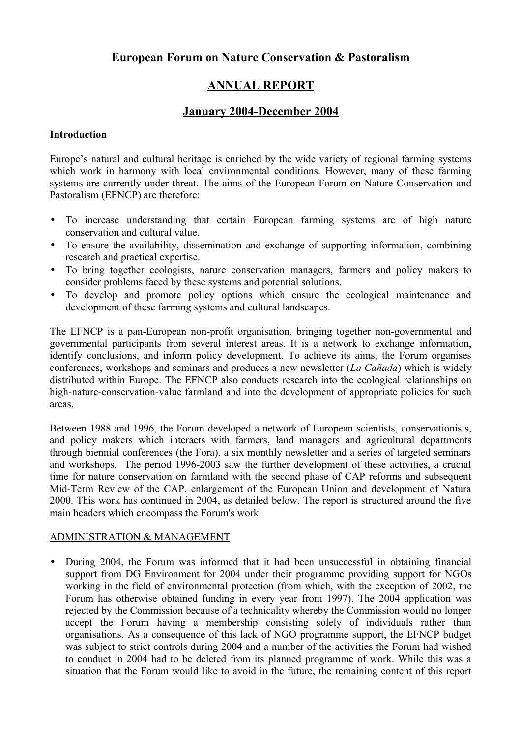# **European Forum on Nature Conservation & Pastoralism**

# **ANNUAL REPORT**

# **January 2004-December 2004**

### **Introduction**

Europe's natural and cultural heritage is enriched by the wide variety of regional farming systems which work in harmony with local environmental conditions. However, many of these farming systems are currently under threat. The aims of the European Forum on Nature Conservation and Pastoralism (EFNCP) are therefore:

- To increase understanding that certain European farming systems are of high nature conservation and cultural value.
- To ensure the availability, dissemination and exchange of supporting information, combining research and practical expertise.
- To bring together ecologists, nature conservation managers, farmers and policy makers to consider problems faced by these systems and potential solutions.
- To develop and promote policy options which ensure the ecological maintenance and development of these farming systems and cultural landscapes.

The EFNCP is a pan-European non-profit organisation, bringing together non-governmental and governmental participants from several interest areas. It is a network to exchange information, identify conclusions, and inform policy development. To achieve its aims, the Forum organises conferences, workshops and seminars and produces a new newsletter (*La Cañada*) which is widely distributed within Europe. The EFNCP also conducts research into the ecological relationships on high-nature-conservation-value farmland and into the development of appropriate policies for such areas.

Between 1988 and 1996, the Forum developed a network of European scientists, conservationists, and policy makers which interacts with farmers, land managers and agricultural departments through biennial conferences (the Fora), a six monthly newsletter and a series of targeted seminars and workshops. The period 1996-2003 saw the further development of these activities, a crucial time for nature conservation on farmland with the second phase of CAP reforms and subsequent Mid-Term Review of the CAP, enlargement of the European Union and development of Natura 2000. This work has continued in 2004, as detailed below. The report is structured around the five main headers which encompass the Forum's work.

## ADMINISTRATION & MANAGEMENT

• During 2004, the Forum was informed that it had been unsuccessful in obtaining financial support from DG Environment for 2004 under their programme providing support for NGOs working in the field of environmental protection (from which, with the exception of 2002, the Forum has otherwise obtained funding in every year from 1997). The 2004 application was rejected by the Commission because of a technicality whereby the Commission would no longer accept the Forum having a membership consisting solely of individuals rather than organisations. As a consequence of this lack of NGO programme support, the EFNCP budget was subject to strict controls during 2004 and a number of the activities the Forum had wished to conduct in 2004 had to be deleted from its planned programme of work. While this was a situation that the Forum would like to avoid in the future, the remaining content of this report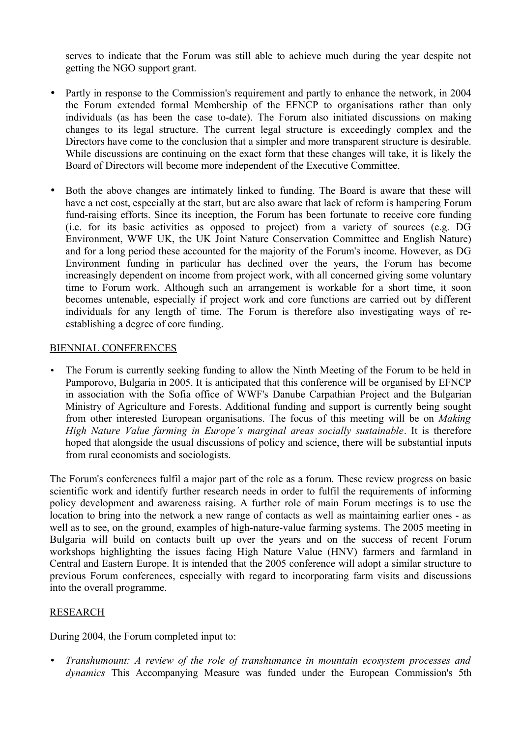serves to indicate that the Forum was still able to achieve much during the year despite not getting the NGO support grant.

- Partly in response to the Commission's requirement and partly to enhance the network, in 2004 the Forum extended formal Membership of the EFNCP to organisations rather than only individuals (as has been the case to-date). The Forum also initiated discussions on making changes to its legal structure. The current legal structure is exceedingly complex and the Directors have come to the conclusion that a simpler and more transparent structure is desirable. While discussions are continuing on the exact form that these changes will take, it is likely the Board of Directors will become more independent of the Executive Committee.
- Both the above changes are intimately linked to funding. The Board is aware that these will have a net cost, especially at the start, but are also aware that lack of reform is hampering Forum fund-raising efforts. Since its inception, the Forum has been fortunate to receive core funding (i.e. for its basic activities as opposed to project) from a variety of sources (e.g. DG Environment, WWF UK, the UK Joint Nature Conservation Committee and English Nature) and for a long period these accounted for the majority of the Forum's income. However, as DG Environment funding in particular has declined over the years, the Forum has become increasingly dependent on income from project work, with all concerned giving some voluntary time to Forum work. Although such an arrangement is workable for a short time, it soon becomes untenable, especially if project work and core functions are carried out by different individuals for any length of time. The Forum is therefore also investigating ways of reestablishing a degree of core funding.

### BIENNIAL CONFERENCES

The Forum is currently seeking funding to allow the Ninth Meeting of the Forum to be held in Pamporovo, Bulgaria in 2005. It is anticipated that this conference will be organised by EFNCP in association with the Sofia office of WWF's Danube Carpathian Project and the Bulgarian Ministry of Agriculture and Forests. Additional funding and support is currently being sought from other interested European organisations. The focus of this meeting will be on *Making High Nature Value farming in Europe's marginal areas socially sustainable*. It is therefore hoped that alongside the usual discussions of policy and science, there will be substantial inputs from rural economists and sociologists.

The Forum's conferences fulfil a major part of the role as a forum. These review progress on basic scientific work and identify further research needs in order to fulfil the requirements of informing policy development and awareness raising. A further role of main Forum meetings is to use the location to bring into the network a new range of contacts as well as maintaining earlier ones - as well as to see, on the ground, examples of high-nature-value farming systems. The 2005 meeting in Bulgaria will build on contacts built up over the years and on the success of recent Forum workshops highlighting the issues facing High Nature Value (HNV) farmers and farmland in Central and Eastern Europe. It is intended that the 2005 conference will adopt a similar structure to previous Forum conferences, especially with regard to incorporating farm visits and discussions into the overall programme.

## RESEARCH

During 2004, the Forum completed input to:

• *Transhumount: A review of the role of transhumance in mountain ecosystem processes and dynamics* This Accompanying Measure was funded under the European Commission's 5th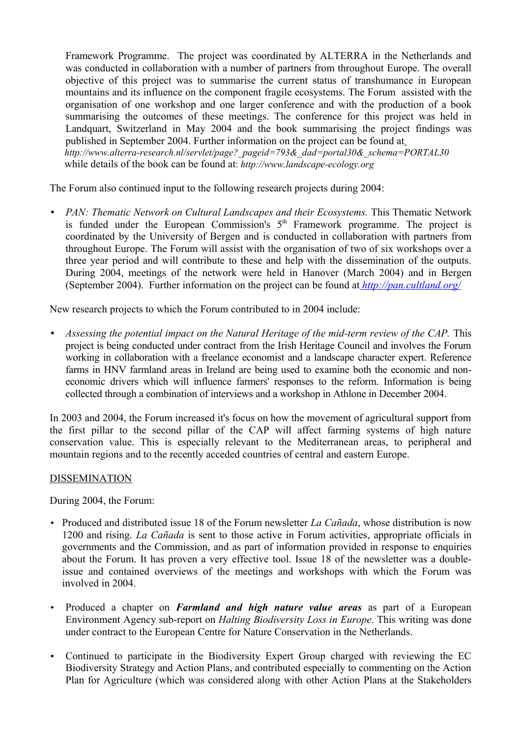Framework Programme. The project was coordinated by ALTERRA in the Netherlands and was conducted in collaboration with a number of partners from throughout Europe. The overall objective of this project was to summarise the current status of transhumance in European mountains and its influence on the component fragile ecosystems. The Forum assisted with the organisation of one workshop and one larger conference and with the production of a book summarising the outcomes of these meetings. The conference for this project was held in Landquart, Switzerland in May 2004 and the book summarising the project findings was published in September 2004. Further information on the project can be found at *[http://www.alterra-research.nl/servlet/page?\\_pageid=793&\\_dad=portal30&\\_schema=PORTAL30](http://www.alterra-research.nl/servlet/page?_pageid=793&_dad=portal30&_schema=PORTAL30)* while details of the book can be found at: *[http://www.landscape-ecology.org](http://www.landscape-ecology.org/)*

The Forum also continued input to the following research projects during 2004:

• *PAN: Thematic Network on Cultural Landscapes and their Ecosystems.* This Thematic Network is funded under the European Commission's  $5<sup>th</sup>$  Framework programme. The project is coordinated by the University of Bergen and is conducted in collaboration with partners from throughout Europe. The Forum will assist with the organisation of two of six workshops over a three year period and will contribute to these and help with the dissemination of the outputs. During 2004, meetings of the network were held in Hanover (March 2004) and in Bergen (September 2004). Further information on the project can be found at *[http://pan.cultland.org/](http://www.cultland.org/pan)*

New research projects to which the Forum contributed to in 2004 include:

• *Assessing the potential impact on the Natural Heritage of the mid-term review of the CAP.* This project is being conducted under contract from the Irish Heritage Council and involves the Forum working in collaboration with a freelance economist and a landscape character expert. Reference farms in HNV farmland areas in Ireland are being used to examine both the economic and noneconomic drivers which will influence farmers' responses to the reform. Information is being collected through a combination of interviews and a workshop in Athlone in December 2004.

In 2003 and 2004, the Forum increased it's focus on how the movement of agricultural support from the first pillar to the second pillar of the CAP will affect farming systems of high nature conservation value. This is especially relevant to the Mediterranean areas, to peripheral and mountain regions and to the recently acceded countries of central and eastern Europe.

#### DISSEMINATION

During 2004, the Forum:

- Produced and distributed issue 18 of the Forum newsletter *La Cañada*, whose distribution is now 1200 and rising. *La Cañada* is sent to those active in Forum activities, appropriate officials in governments and the Commission, and as part of information provided in response to enquiries about the Forum. It has proven a very effective tool. Issue 18 of the newsletter was a doubleissue and contained overviews of the meetings and workshops with which the Forum was involved in 2004.
- Produced a chapter on *Farmland and high nature value areas* as part of a European Environment Agency sub-report on *Halting Biodiversity Loss in Europe*. This writing was done under contract to the European Centre for Nature Conservation in the Netherlands.
- Continued to participate in the Biodiversity Expert Group charged with reviewing the EC Biodiversity Strategy and Action Plans, and contributed especially to commenting on the Action Plan for Agriculture (which was considered along with other Action Plans at the Stakeholders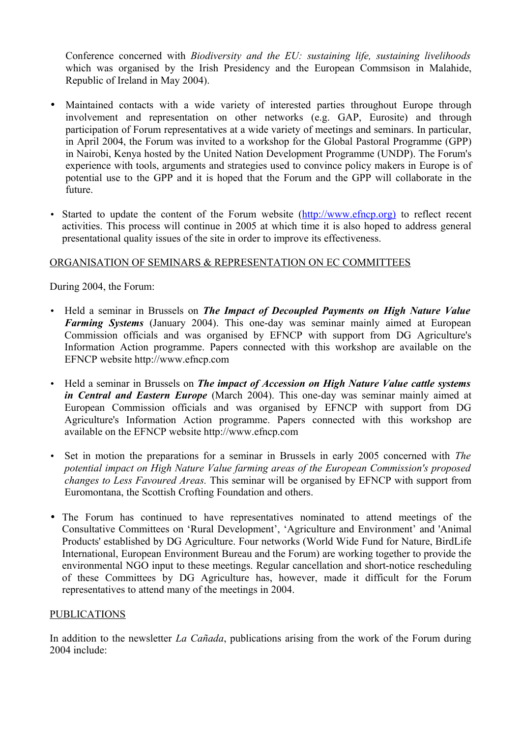Conference concerned with *Biodiversity and the EU: sustaining life, sustaining livelihoods* which was organised by the Irish Presidency and the European Commsison in Malahide, Republic of Ireland in May 2004).

- Maintained contacts with a wide variety of interested parties throughout Europe through involvement and representation on other networks (e.g. GAP, Eurosite) and through participation of Forum representatives at a wide variety of meetings and seminars. In particular, in April 2004, the Forum was invited to a workshop for the Global Pastoral Programme (GPP) in Nairobi, Kenya hosted by the United Nation Development Programme (UNDP). The Forum's experience with tools, arguments and strategies used to convince policy makers in Europe is of potential use to the GPP and it is hoped that the Forum and the GPP will collaborate in the future.
- Started to update the content of the Forum website (http://www.efncp.org) to reflect recent activities. This process will continue in 2005 at which time it is also hoped to address general presentational quality issues of the site in order to improve its effectiveness.

### ORGANISATION OF SEMINARS & REPRESENTATION ON EC COMMITTEES

During 2004, the Forum:

- Held a seminar in Brussels on *The Impact of Decoupled Payments on High Nature Value Farming Systems* (January 2004). This one-day was seminar mainly aimed at European Commission officials and was organised by EFNCP with support from DG Agriculture's Information Action programme. Papers connected with this workshop are available on the EFNCP website http://www.efncp.com
- Held a seminar in Brussels on *The impact of Accession on High Nature Value cattle systems in Central and Eastern Europe* (March 2004). This one-day was seminar mainly aimed at European Commission officials and was organised by EFNCP with support from DG Agriculture's Information Action programme. Papers connected with this workshop are available on the EFNCP website http://www.efncp.com
- Set in motion the preparations for a seminar in Brussels in early 2005 concerned with *The potential impact on High Nature Value farming areas of the European Commission's proposed changes to Less Favoured Areas.* This seminar will be organised by EFNCP with support from Euromontana, the Scottish Crofting Foundation and others.
- The Forum has continued to have representatives nominated to attend meetings of the Consultative Committees on 'Rural Development', 'Agriculture and Environment' and 'Animal Products' established by DG Agriculture. Four networks (World Wide Fund for Nature, BirdLife International, European Environment Bureau and the Forum) are working together to provide the environmental NGO input to these meetings. Regular cancellation and short-notice rescheduling of these Committees by DG Agriculture has, however, made it difficult for the Forum representatives to attend many of the meetings in 2004.

#### PUBLICATIONS

In addition to the newsletter *La Cañada*, publications arising from the work of the Forum during 2004 include: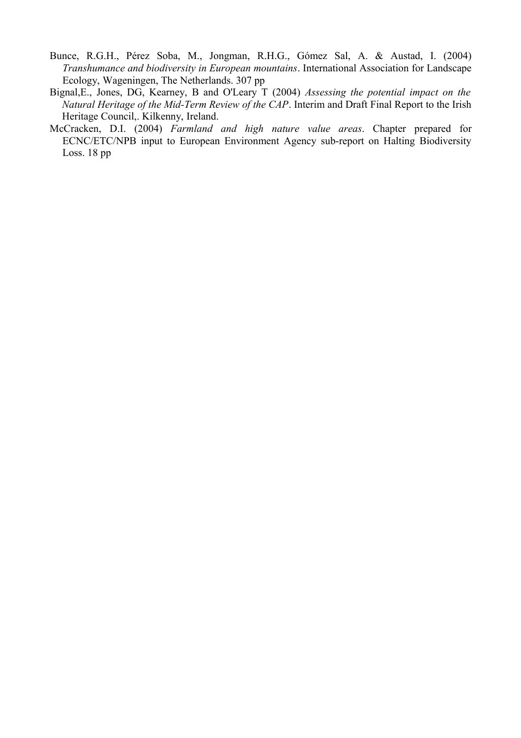- Bunce, R.G.H., Pérez Soba, M., Jongman, R.H.G., Gómez Sal, A. & Austad, I. (2004) *Transhumance and biodiversity in European mountains*. International Association for Landscape Ecology, Wageningen, The Netherlands. 307 pp
- Bignal,E., Jones, DG, Kearney, B and O'Leary T (2004) *Assessing the potential impact on the Natural Heritage of the Mid-Term Review of the CAP*. Interim and Draft Final Report to the Irish Heritage Council,. Kilkenny, Ireland.
- McCracken, D.I. (2004) *Farmland and high nature value areas*. Chapter prepared for ECNC/ETC/NPB input to European Environment Agency sub-report on Halting Biodiversity Loss. 18 pp